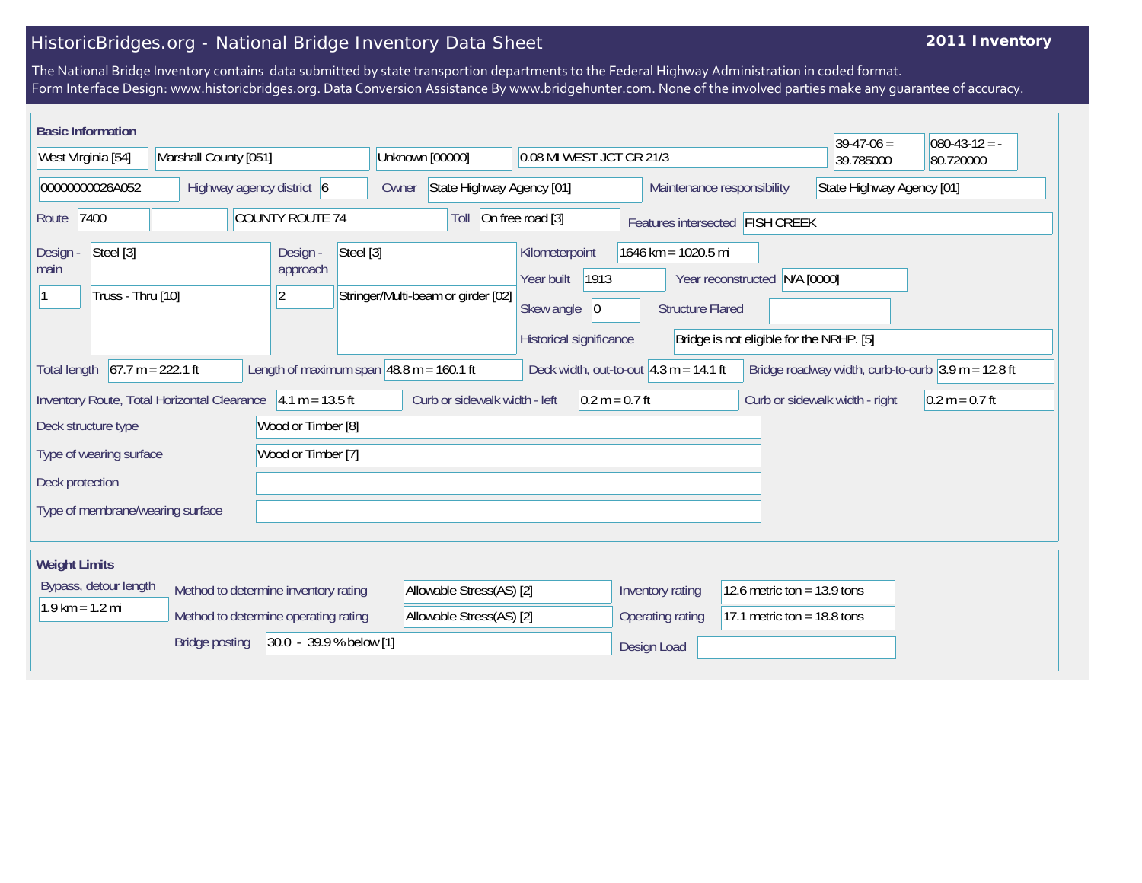## HistoricBridges.org - National Bridge Inventory Data Sheet

## **2011 Inventory**

The National Bridge Inventory contains data submitted by state transportion departments to the Federal Highway Administration in coded format. Form Interface Design: www.historicbridges.org. Data Conversion Assistance By www.bridgehunter.com. None of the involved parties make any guarantee of accuracy.

| <b>Basic Information</b>                                                                    |  |                                                                                               |                                                             |                                                                                 |                               |                                          | $39-47-06 =$                   | $080-43-12 = -$                                                      |
|---------------------------------------------------------------------------------------------|--|-----------------------------------------------------------------------------------------------|-------------------------------------------------------------|---------------------------------------------------------------------------------|-------------------------------|------------------------------------------|--------------------------------|----------------------------------------------------------------------|
| West Virginia [54]<br>Marshall County [051]                                                 |  |                                                                                               | Unknown [00000]<br>0.08 MI WEST JCT CR 21/3                 |                                                                                 |                               | 39.785000                                | 80.720000                      |                                                                      |
| 00000000026A052<br>Highway agency district 6                                                |  | State Highway Agency [01]<br>Owner                                                            |                                                             | State Highway Agency [01]<br>Maintenance responsibility                         |                               |                                          |                                |                                                                      |
| <b>COUNTY ROUTE 74</b><br>7400<br>Route                                                     |  |                                                                                               | Toll                                                        | On free road [3]<br>Features intersected FISH CREEK                             |                               |                                          |                                |                                                                      |
| Steel [3]<br>Steel [3]<br>Design -<br>Design<br>approach<br>main<br>Truss - Thru [10]<br> 2 |  | Kilometerpoint<br>1913<br>Year built<br>Stringer/Multi-beam or girder [02]<br>Skew angle $ 0$ |                                                             | 1646 km = 1020.5 mi<br>Year reconstructed N/A [0000]<br><b>Structure Flared</b> |                               |                                          |                                |                                                                      |
|                                                                                             |  |                                                                                               |                                                             | Historical significance                                                         |                               | Bridge is not eligible for the NRHP. [5] |                                |                                                                      |
| $67.7 m = 222.1 ft$<br><b>Total length</b>                                                  |  |                                                                                               | Length of maximum span $ 48.8 \text{ m} = 160.1 \text{ ft}$ | Deck width, out-to-out $4.3 m = 14.1 ft$                                        |                               |                                          |                                | Bridge roadway width, curb-to-curb $3.9 \text{ m} = 12.8 \text{ ft}$ |
| Inventory Route, Total Horizontal Clearance 4.1 m = 13.5 ft                                 |  |                                                                                               | Curb or sidewalk width - left                               | $0.2 m = 0.7 ft$                                                                |                               |                                          | Curb or sidewalk width - right | $0.2 m = 0.7 ft$                                                     |
| Deck structure type                                                                         |  | Wood or Timber [8]                                                                            |                                                             |                                                                                 |                               |                                          |                                |                                                                      |
| Wood or Timber [7]<br>Type of wearing surface                                               |  |                                                                                               |                                                             |                                                                                 |                               |                                          |                                |                                                                      |
| Deck protection                                                                             |  |                                                                                               |                                                             |                                                                                 |                               |                                          |                                |                                                                      |
| Type of membrane/wearing surface                                                            |  |                                                                                               |                                                             |                                                                                 |                               |                                          |                                |                                                                      |
| <b>Weight Limits</b>                                                                        |  |                                                                                               |                                                             |                                                                                 |                               |                                          |                                |                                                                      |
| Bypass, detour length<br>Method to determine inventory rating                               |  | Allowable Stress(AS) [2]                                                                      |                                                             | Inventory rating<br>12.6 metric ton = $13.9$ tons                               |                               |                                          |                                |                                                                      |
| $1.9$ km = 1.2 mi<br>Method to determine operating rating                                   |  | Allowable Stress(AS) [2]                                                                      |                                                             | Operating rating                                                                | 17.1 metric ton = $18.8$ tons |                                          |                                |                                                                      |
| 30.0 - 39.9 % below [1]<br><b>Bridge posting</b>                                            |  |                                                                                               |                                                             |                                                                                 | Design Load                   |                                          |                                |                                                                      |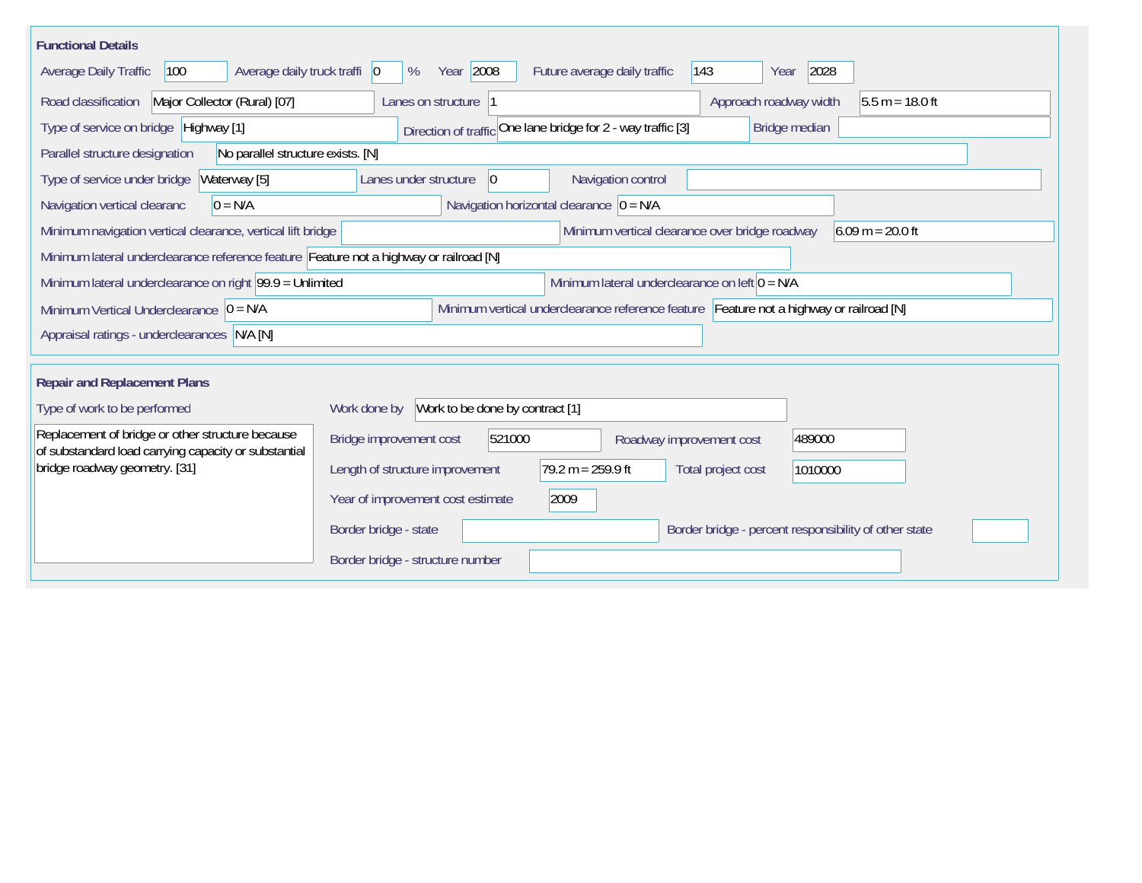| <b>Functional Details</b>                                                                                |                                                                                         |
|----------------------------------------------------------------------------------------------------------|-----------------------------------------------------------------------------------------|
| Average daily truck traffi   0<br>100<br>Average Daily Traffic                                           | Year 2008<br>2028<br>$ 143\rangle$<br>Future average daily traffic<br>%<br>Year         |
| Major Collector (Rural) [07]<br>Road classification                                                      | Approach roadway width<br>Lanes on structure 1<br>$5.5 m = 18.0 ft$                     |
| Type of service on bridge Highway [1]                                                                    | Direction of traffic One lane bridge for 2 - way traffic [3]<br>Bridge median           |
| No parallel structure exists. [N]<br>Parallel structure designation                                      |                                                                                         |
| Type of service under bridge<br>Waterway [5]                                                             | Navigation control<br>$ 0\rangle$<br>Lanes under structure                              |
| $0 = N/A$<br>Navigation vertical clearanc                                                                | Navigation horizontal clearance $ 0 = N/A$                                              |
| Minimum navigation vertical clearance, vertical lift bridge                                              | $6.09 m = 20.0 ft$<br>Minimum vertical clearance over bridge roadway                    |
| Minimum lateral underclearance reference feature Feature not a highway or railroad [N]                   |                                                                                         |
| Minimum lateral underclearance on right $99.9 =$ Unlimited                                               | Minimum lateral underclearance on left $0 = N/A$                                        |
| Minimum Vertical Underclearance $ 0 = N/A$                                                               | Minimum vertical underclearance reference feature Feature not a highway or railroad [N] |
| Appraisal ratings - underclearances N/A [N]                                                              |                                                                                         |
|                                                                                                          |                                                                                         |
| <b>Repair and Replacement Plans</b>                                                                      |                                                                                         |
| Type of work to be performed                                                                             | Work to be done by contract [1]<br>Work done by                                         |
| Replacement of bridge or other structure because<br>of substandard load carrying capacity or substantial | Bridge improvement cost<br>521000<br>489000<br>Roadway improvement cost                 |
| bridge roadway geometry. [31]                                                                            | $79.2 m = 259.9 ft$<br>Length of structure improvement<br>Total project cost<br>1010000 |
|                                                                                                          | Year of improvement cost estimate<br>2009                                               |
|                                                                                                          | Border bridge - state<br>Border bridge - percent responsibility of other state          |
|                                                                                                          | Border bridge - structure number                                                        |